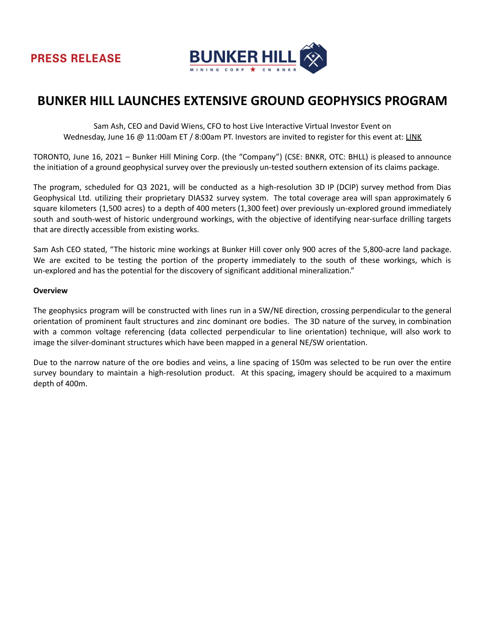

## **BUNKER HILL LAUNCHES EXTENSIVE GROUND GEOPHYSICS PROGRAM**

Sam Ash, CEO and David Wiens, CFO to host Live Interactive Virtual Investor Event on Wednesday, June 16 @ 11:00am ET / 8:00am PT. Investors are invited to register for this event at: [LINK](https://my.6ix.com/vmIclTw_)

TORONTO, June 16, 2021 – Bunker Hill Mining Corp. (the "Company") (CSE: BNKR, OTC: BHLL) is pleased to announce the initiation of a ground geophysical survey over the previously un-tested southern extension of its claims package.

The program, scheduled for Q3 2021, will be conducted as a high-resolution 3D IP (DCIP) survey method from Dias Geophysical Ltd. utilizing their proprietary DIAS32 survey system. The total coverage area will span approximately 6 square kilometers (1,500 acres) to a depth of 400 meters (1,300 feet) over previously un-explored ground immediately south and south-west of historic underground workings, with the objective of identifying near-surface drilling targets that are directly accessible from existing works.

Sam Ash CEO stated, "The historic mine workings at Bunker Hill cover only 900 acres of the 5,800-acre land package. We are excited to be testing the portion of the property immediately to the south of these workings, which is un-explored and has the potential for the discovery of significant additional mineralization."

## **Overview**

The geophysics program will be constructed with lines run in a SW/NE direction, crossing perpendicular to the general orientation of prominent fault structures and zinc dominant ore bodies. The 3D nature of the survey, in combination with a common voltage referencing (data collected perpendicular to line orientation) technique, will also work to image the silver-dominant structures which have been mapped in a general NE/SW orientation.

Due to the narrow nature of the ore bodies and veins, a line spacing of 150m was selected to be run over the entire survey boundary to maintain a high-resolution product. At this spacing, imagery should be acquired to a maximum depth of 400m.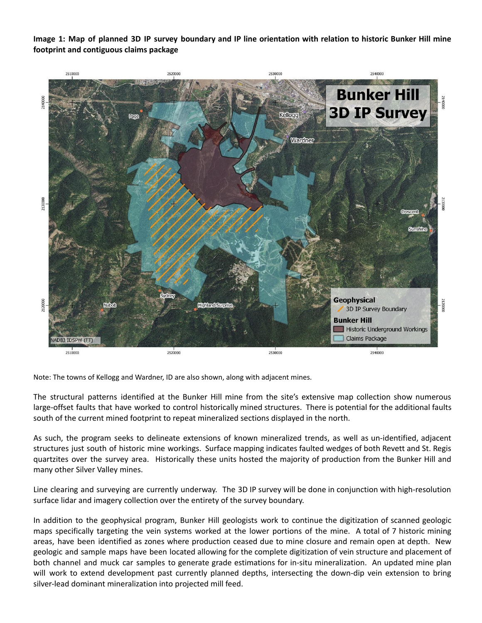Image 1: Map of planned 3D IP survey boundary and IP line orientation with relation to historic Bunker Hill mine **footprint and contiguous claims package**



Note: The towns of Kellogg and Wardner, ID are also shown, along with adjacent mines.

The structural patterns identified at the Bunker Hill mine from the site's extensive map collection show numerous large-offset faults that have worked to control historically mined structures. There is potential for the additional faults south of the current mined footprint to repeat mineralized sections displayed in the north.

As such, the program seeks to delineate extensions of known mineralized trends, as well as un-identified, adjacent structures just south of historic mine workings. Surface mapping indicates faulted wedges of both Revett and St. Regis quartzites over the survey area. Historically these units hosted the majority of production from the Bunker Hill and many other Silver Valley mines.

Line clearing and surveying are currently underway. The 3D IP survey will be done in conjunction with high-resolution surface lidar and imagery collection over the entirety of the survey boundary.

In addition to the geophysical program, Bunker Hill geologists work to continue the digitization of scanned geologic maps specifically targeting the vein systems worked at the lower portions of the mine. A total of 7 historic mining areas, have been identified as zones where production ceased due to mine closure and remain open at depth. New geologic and sample maps have been located allowing for the complete digitization of vein structure and placement of both channel and muck car samples to generate grade estimations for in-situ mineralization. An updated mine plan will work to extend development past currently planned depths, intersecting the down-dip vein extension to bring silver-lead dominant mineralization into projected mill feed.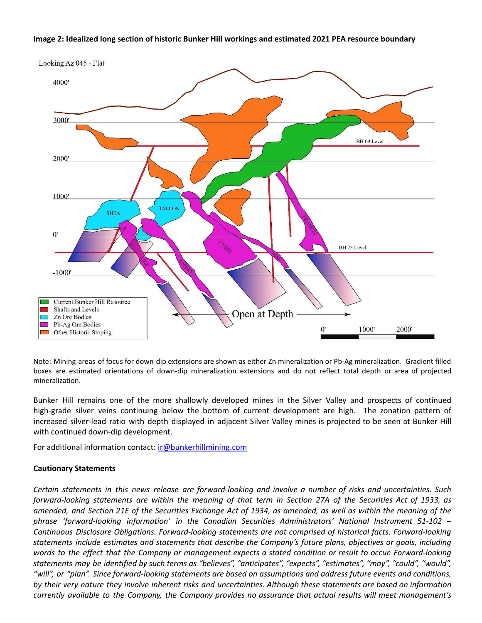## **Image 2: Idealized long section of historic Bunker Hill workings and estimated 2021 PEA resource boundary**



Note: Mining areas of focus for down-dip extensions are shown as either Zn mineralization or Pb-Ag mineralization. Gradient filled boxes are estimated orientations of down-dip mineralization extensions and do not reflect total depth or area of projected mineralization.

Bunker Hill remains one of the more shallowly developed mines in the Silver Valley and prospects of continued high-grade silver veins continuing below the bottom of current development are high. The zonation pattern of increased silver-lead ratio with depth displayed in adjacent Silver Valley mines is projected to be seen at Bunker Hill with continued down-dip development.

For additional information contact: ir[@bunkerhillmining.com](mailto:sa@bunkerhillmining.com)

## **Cautionary Statements**

Certain statements in this news release are forward-looking and involve a number of risks and uncertainties. Such forward-looking statements are within the meaning of that term in Section 27A of the Securities Act of 1933, as amended, and Section 21E of the Securities Exchange Act of 1934, as amended, as well as within the meaning of the *phrase 'forward-looking information' in the Canadian Securities Administrators' National Instrument 51-102 – Continuous Disclosure Obligations. Forward-looking statements are not comprised of historical facts. Forward-looking statements include estimates and statements that describe the Company's future plans, objectives or goals, including* words to the effect that the Company or management expects a stated condition or result to occur. Forward-looking statements may be identified by such terms as "believes", "anticipates", "expects", "estimates", "may", "could", "would", "will", or "plan". Since forward-looking statements are based on assumptions and address future events and conditions, by their very nature they involve inherent risks and uncertainties. Although these statements are based on information *currently available to the Company, the Company provides no assurance that actual results will meet management's*